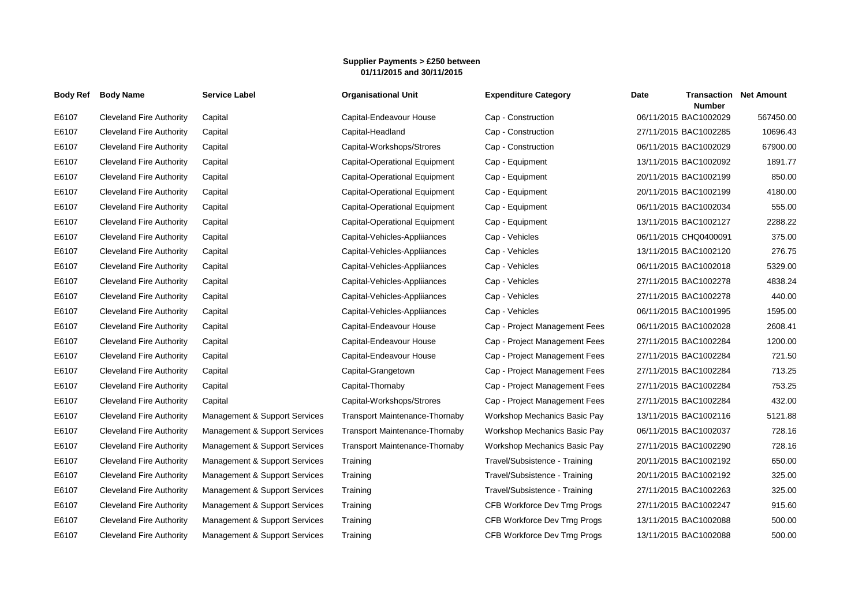## **Supplier Payments > £250 between 01/11/2015 and 30/11/2015**

| <b>Body Ref</b> | <b>Body Name</b>                | <b>Service Label</b>          | <b>Organisational Unit</b>            | <b>Expenditure Category</b>   | Date | <b>Number</b>         | <b>Transaction Net Amount</b> |
|-----------------|---------------------------------|-------------------------------|---------------------------------------|-------------------------------|------|-----------------------|-------------------------------|
| E6107           | <b>Cleveland Fire Authority</b> | Capital                       | Capital-Endeavour House               | Cap - Construction            |      | 06/11/2015 BAC1002029 | 567450.00                     |
| E6107           | <b>Cleveland Fire Authority</b> | Capital                       | Capital-Headland                      | Cap - Construction            |      | 27/11/2015 BAC1002285 | 10696.43                      |
| E6107           | <b>Cleveland Fire Authority</b> | Capital                       | Capital-Workshops/Strores             | Cap - Construction            |      | 06/11/2015 BAC1002029 | 67900.00                      |
| E6107           | <b>Cleveland Fire Authority</b> | Capital                       | Capital-Operational Equipment         | Cap - Equipment               |      | 13/11/2015 BAC1002092 | 1891.77                       |
| E6107           | <b>Cleveland Fire Authority</b> | Capital                       | Capital-Operational Equipment         | Cap - Equipment               |      | 20/11/2015 BAC1002199 | 850.00                        |
| E6107           | <b>Cleveland Fire Authority</b> | Capital                       | Capital-Operational Equipment         | Cap - Equipment               |      | 20/11/2015 BAC1002199 | 4180.00                       |
| E6107           | <b>Cleveland Fire Authority</b> | Capital                       | Capital-Operational Equipment         | Cap - Equipment               |      | 06/11/2015 BAC1002034 | 555.00                        |
| E6107           | <b>Cleveland Fire Authority</b> | Capital                       | Capital-Operational Equipment         | Cap - Equipment               |      | 13/11/2015 BAC1002127 | 2288.22                       |
| E6107           | <b>Cleveland Fire Authority</b> | Capital                       | Capital-Vehicles-Appliiances          | Cap - Vehicles                |      | 06/11/2015 CHQ0400091 | 375.00                        |
| E6107           | <b>Cleveland Fire Authority</b> | Capital                       | Capital-Vehicles-Appliiances          | Cap - Vehicles                |      | 13/11/2015 BAC1002120 | 276.75                        |
| E6107           | <b>Cleveland Fire Authority</b> | Capital                       | Capital-Vehicles-Appliiances          | Cap - Vehicles                |      | 06/11/2015 BAC1002018 | 5329.00                       |
| E6107           | <b>Cleveland Fire Authority</b> | Capital                       | Capital-Vehicles-Appliiances          | Cap - Vehicles                |      | 27/11/2015 BAC1002278 | 4838.24                       |
| E6107           | <b>Cleveland Fire Authority</b> | Capital                       | Capital-Vehicles-Appliiances          | Cap - Vehicles                |      | 27/11/2015 BAC1002278 | 440.00                        |
| E6107           | <b>Cleveland Fire Authority</b> | Capital                       | Capital-Vehicles-Appliiances          | Cap - Vehicles                |      | 06/11/2015 BAC1001995 | 1595.00                       |
| E6107           | <b>Cleveland Fire Authority</b> | Capital                       | Capital-Endeavour House               | Cap - Project Management Fees |      | 06/11/2015 BAC1002028 | 2608.41                       |
| E6107           | <b>Cleveland Fire Authority</b> | Capital                       | Capital-Endeavour House               | Cap - Project Management Fees |      | 27/11/2015 BAC1002284 | 1200.00                       |
| E6107           | <b>Cleveland Fire Authority</b> | Capital                       | Capital-Endeavour House               | Cap - Project Management Fees |      | 27/11/2015 BAC1002284 | 721.50                        |
| E6107           | <b>Cleveland Fire Authority</b> | Capital                       | Capital-Grangetown                    | Cap - Project Management Fees |      | 27/11/2015 BAC1002284 | 713.25                        |
| E6107           | <b>Cleveland Fire Authority</b> | Capital                       | Capital-Thornaby                      | Cap - Project Management Fees |      | 27/11/2015 BAC1002284 | 753.25                        |
| E6107           | <b>Cleveland Fire Authority</b> | Capital                       | Capital-Workshops/Strores             | Cap - Project Management Fees |      | 27/11/2015 BAC1002284 | 432.00                        |
| E6107           | <b>Cleveland Fire Authority</b> | Management & Support Services | <b>Transport Maintenance-Thornaby</b> | Workshop Mechanics Basic Pay  |      | 13/11/2015 BAC1002116 | 5121.88                       |
| E6107           | <b>Cleveland Fire Authority</b> | Management & Support Services | Transport Maintenance-Thornaby        | Workshop Mechanics Basic Pay  |      | 06/11/2015 BAC1002037 | 728.16                        |
| E6107           | <b>Cleveland Fire Authority</b> | Management & Support Services | <b>Transport Maintenance-Thornaby</b> | Workshop Mechanics Basic Pay  |      | 27/11/2015 BAC1002290 | 728.16                        |
| E6107           | <b>Cleveland Fire Authority</b> | Management & Support Services | Training                              | Travel/Subsistence - Training |      | 20/11/2015 BAC1002192 | 650.00                        |
| E6107           | <b>Cleveland Fire Authority</b> | Management & Support Services | Training                              | Travel/Subsistence - Training |      | 20/11/2015 BAC1002192 | 325.00                        |
| E6107           | <b>Cleveland Fire Authority</b> | Management & Support Services | Training                              | Travel/Subsistence - Training |      | 27/11/2015 BAC1002263 | 325.00                        |
| E6107           | <b>Cleveland Fire Authority</b> | Management & Support Services | Training                              | CFB Workforce Dev Trng Progs  |      | 27/11/2015 BAC1002247 | 915.60                        |
| E6107           | <b>Cleveland Fire Authority</b> | Management & Support Services | Training                              | CFB Workforce Dev Trng Progs  |      | 13/11/2015 BAC1002088 | 500.00                        |
| E6107           | <b>Cleveland Fire Authority</b> | Management & Support Services | Training                              | CFB Workforce Dev Trng Progs  |      | 13/11/2015 BAC1002088 | 500.00                        |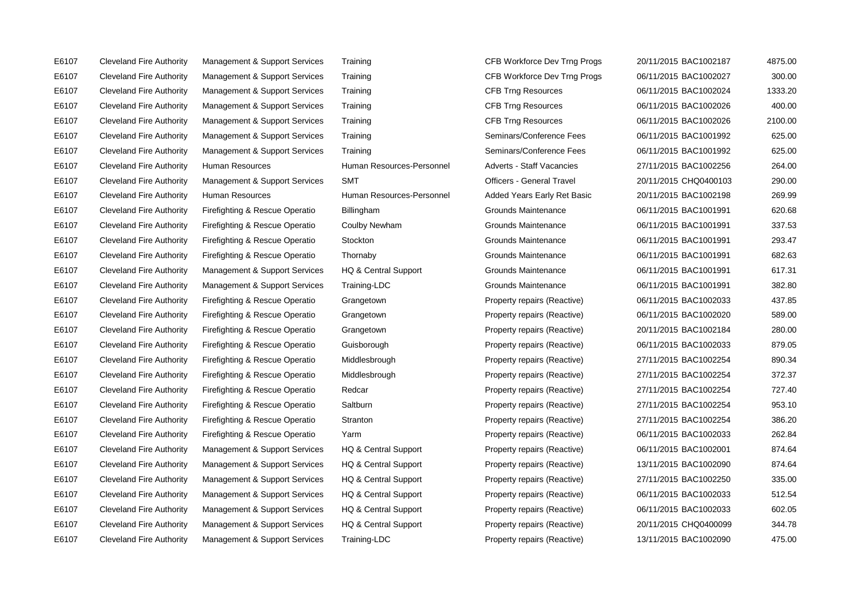E6107 Cleveland Fire Authority Management & Support Services Training CFB Workforce Dev Trng Progs 20/11/2015 BAC1002187 4875.00 E6107 Cleveland Fire Authority Management & Support Services Training CFB Workforce Dev Trng Progs 06/11/2015 BAC1002027 300.00 E6107 Cleveland Fire Authority Management & Support Services Training CFB Trng Resources 06/11/2015 BAC1002024 1333.20 E6107 Cleveland Fire Authority Management & Support Services Training CFB Trng Resources 06/11/2015 BAC1002026 400.00 E6107 Cleveland Fire Authority Management & Support Services Training CFB Trng Resources 06/11/2015 BAC1002026 2100.00 E6107 Cleveland Fire Authority Management & Support Services Training Seminars/Conference Fees 06/11/2015 BAC1001992 625.00 E6107 Cleveland Fire Authority Management & Support Services Training Seminars/Conference Fees 06/11/2015 BAC1001992 625.00 E6107 Cleveland Fire Authority Human Resources Human Resources-Personnel Adverts - Staff Vacancies 27/11/2015 BAC1002256 264.00 E6107 Cleveland Fire Authority Management & Support Services SMT Officers - General Travel 20/11/2015 CHQ0400103 290.00 E6107 Cleveland Fire Authority Human Resources Human Resources-Personnel Added Years Early Ret Basic 20/11/2015 BAC1002198 269.99 E6107 Cleveland Fire Authority Firefighting & Rescue Operatio Billingham Grounds Maintenance 06/11/2015 BAC1001991 620.68 E6107 Cleveland Fire Authority Firefighting & Rescue Operatio Coulby Newham Grounds Maintenance 06/11/2015 BAC1001991 337.53 E6107 Cleveland Fire Authority Firefighting & Rescue Operatio Stockton Grounds Maintenance 06/11/2015 BAC1001991 293.47 E6107 Cleveland Fire Authority Firefighting & Rescue Operatio Thornaby Grounds Maintenance 66/11/2015 BAC1001991 682.63 E6107 Cleveland Fire Authority Management & Support Services HQ & Central Support Grounds Maintenance 06/11/2015 BAC1001991 617.31 E6107 Cleveland Fire Authority Management & Support Services Training-LDC Grounds Maintenance 06/11/2015 BAC1001991 382.80 E6107 Cleveland Fire Authority Firefighting & Rescue Operatio Grangetown Property repairs (Reactive) 06/11/2015 BAC1002033 437.85 E6107 Cleveland Fire Authority Firefighting & Rescue Operatio Grangetown Property repairs (Reactive) 06/11/2015 BAC1002020 589.00 E6107 Cleveland Fire Authority Firefighting & Rescue Operatio Grangetown Property repairs (Reactive) 20/11/2015 BAC1002184 280.00 E6107 Cleveland Fire Authority Firefighting & Rescue Operatio Guisborough Property repairs (Reactive) 06/11/2015 BAC1002033 879.05 E6107 Cleveland Fire Authority Firefighting & Rescue Operatio Middlesbrough Property repairs (Reactive) 27/11/2015 BAC1002254 890.34 E6107 Cleveland Fire Authority Firefighting & Rescue Operatio Middlesbrough Property repairs (Reactive) 27/11/2015 BAC1002254 372.37 E6107 Cleveland Fire Authority Firefighting & Rescue Operatio Redcar Property repairs (Reactive) 27/11/2015 BAC1002254 727.40 E6107 Cleveland Fire Authority Firefighting & Rescue Operatio Saltburn Property repairs (Reactive) 27/11/2015 BAC1002254 953.10 E6107 Cleveland Fire Authority Firefighting & Rescue Operatio Stranton Property repairs (Reactive) 27/11/2015 BAC1002254 386.20 E6107 Cleveland Fire Authority Firefighting & Rescue Operatio Yarm Property repairs (Reactive) 06/11/2015 BAC1002033 262.84 E6107 Cleveland Fire Authority Management & Support Services HQ & Central Support Property repairs (Reactive) 06/11/2015 BAC1002001 874.64 E6107 Cleveland Fire Authority Management & Support Services HQ & Central Support Property repairs (Reactive) 13/11/2015 BAC1002090 874.64 E6107 Cleveland Fire Authority Management & Support Services HQ & Central Support Property repairs (Reactive) 27/11/2015 BAC1002250 335.00 E6107 Cleveland Fire Authority Management & Support Services HQ & Central Support Property repairs (Reactive) 06/11/2015 BAC1002033 512.54 E6107 Cleveland Fire Authority Management & Support Services HQ & Central Support Property repairs (Reactive) 06/11/2015 BAC1002033 602.05 E6107 Cleveland Fire Authority Management & Support Services HQ & Central Support Property repairs (Reactive) 20/11/2015 CHQ0400099 344.78 E6107 Cleveland Fire Authority Management & Support Services Training-LDC Property repairs (Reactive) 13/11/2015 BAC1002090 475.00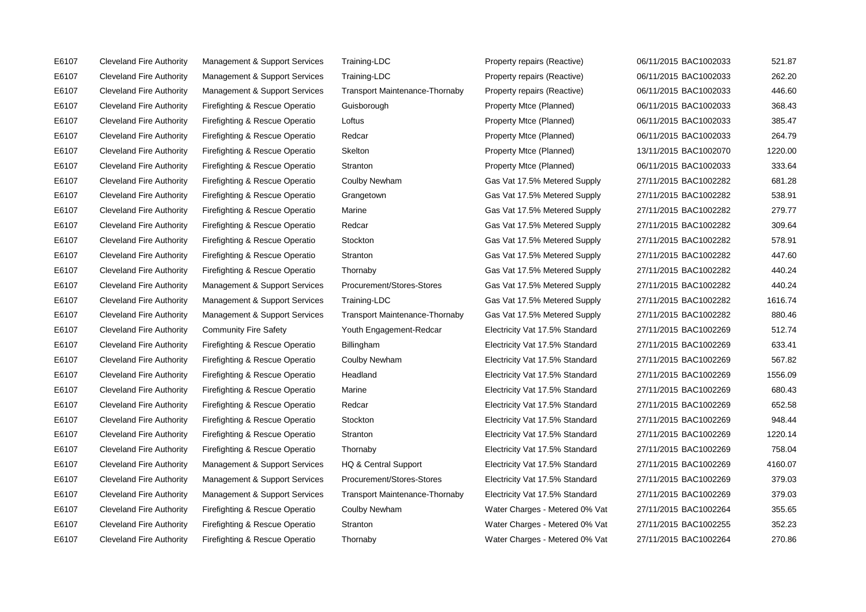E6107 Cleveland Fire Authority Management & Support Services Training-LDC Property repairs (Reactive) 06/11/2015 BAC1002033 521.87 E6107 Cleveland Fire Authority Management & Support Services Training-LDC Property repairs (Reactive) 06/11/2015 BAC1002033 262.20 E6107 Cleveland Fire Authority Management & Support Services Transport Maintenance-Thornaby Property repairs (Reactive) 06/11/2015 BAC1002033 446.60 E6107 Cleveland Fire Authority Firefighting & Rescue Operatio Guisborough Property Mtce (Planned) 06/11/2015 BAC1002033 368.43 E6107 Cleveland Fire Authority Firefighting & Rescue Operatio Loftus **Property Mtce (Planned)** 06/11/2015 BAC1002033 385.47 E6107 Cleveland Fire Authority Firefighting & Rescue Operatio Redcar Property Mtce (Planned) 06/11/2015 BAC1002033 264.79 E6107 Cleveland Fire Authority Firefighting & Rescue Operatio Skelton Property Mtce (Planned) 13/11/2015 BAC1002070 1220.00 E6107 Cleveland Fire Authority Firefighting & Rescue Operatio Stranton Property Mtce (Planned) 06/11/2015 BAC1002033 333.64 E6107 Cleveland Fire Authority Firefighting & Rescue Operatio Coulby Newham Gas Vat 17.5% Metered Supply 27/11/2015 BAC1002282 681.28 E6107 Cleveland Fire Authority Firefighting & Rescue Operatio Grangetown Gas Vat 17.5% Metered Supply 27/11/2015 BAC1002282 538.91 E6107 Cleveland Fire Authority Firefighting & Rescue Operatio Marine Gas Vat 17.5% Metered Supply 27/11/2015 BAC1002282 279.77 E6107 Cleveland Fire Authority Firefighting & Rescue Operatio Redcar Gas Vat 17.5% Metered Supply 27/11/2015 BAC1002282 309.64 E6107 Cleveland Fire Authority Firefighting & Rescue Operatio Stockton Gas Vat 17.5% Metered Supply 27/11/2015 BAC1002282 578.91 E6107 Cleveland Fire Authority Firefighting & Rescue Operatio Stranton Gas Vat 17.5% Metered Supply 27/11/2015 BAC1002282 447.60 E6107 Cleveland Fire Authority Firefighting & Rescue Operatio Thornaby Gas Vat 17.5% Metered Supply 27/11/2015 BAC1002282 440.24 E6107 Cleveland Fire Authority Management & Support Services Procurement/Stores-Stores Gas Vat 17.5% Metered Supply 27/11/2015 BAC1002282 440.24 E6107 Cleveland Fire Authority Management & Support Services Training-LDC Gas Vat 17.5% Metered Supply 27/11/2015 BAC1002282 1616.74 E6107 Cleveland Fire Authority Management & Support Services Transport Maintenance-Thornaby Gas Vat 17.5% Metered Supply 27/11/2015 BAC1002282 880.46 E6107 Cleveland Fire Authority Community Fire Safety Youth Engagement-Redcar Electricity Vat 17.5% Standard 27/11/2015 BAC1002269 512.74 E6107 Cleveland Fire Authority Firefighting & Rescue Operatio Billingham Electricity Vat 17.5% Standard 27/11/2015 BAC1002269 633.41 E6107 Cleveland Fire Authority Firefighting & Rescue Operatio Coulby Newham Electricity Vat 17.5% Standard 27/11/2015 BAC1002269 567.82 E6107 Cleveland Fire Authority Firefighting & Rescue Operatio Headland Electricity Vat 17.5% Standard 27/11/2015 BAC1002269 1556.09 E6107 Cleveland Fire Authority Firefighting & Rescue Operatio Marine Electricity Vat 17.5% Standard 27/11/2015 BAC1002269 680.43 E6107 Cleveland Fire Authority Firefighting & Rescue Operatio Redcar Electricity Vat 17.5% Standard 27/11/2015 BAC1002269 652.58 E6107 Cleveland Fire Authority Firefighting & Rescue Operatio Stockton Electricity Vat 17.5% Standard 27/11/2015 BAC1002269 948.44 E6107 Cleveland Fire Authority Firefighting & Rescue Operatio Stranton Electricity Vat 17.5% Standard 27/11/2015 BAC1002269 1220.14 E6107 Cleveland Fire Authority Firefighting & Rescue Operatio Thornaby Electricity Vat 17.5% Standard 27/11/2015 BAC1002269 758.04 E6107 Cleveland Fire Authority Management & Support Services HQ & Central Support Electricity Vat 17.5% Standard 27/11/2015 BAC1002269 4160.07 E6107 Cleveland Fire Authority Management & Support Services Procurement/Stores-Stores Electricity Vat 17.5% Standard 27/11/2015 BAC1002269 379.03 E6107 Cleveland Fire Authority Management & Support Services Transport Maintenance-Thornaby Electricity Vat 17.5% Standard 27/11/2015 BAC1002269 379.03 E6107 Cleveland Fire Authority Firefighting & Rescue Operatio Coulby Newham Water Charges - Metered 0% Vat 27/11/2015 BAC1002264 355.65 E6107 Cleveland Fire Authority Firefighting & Rescue Operatio Stranton Water Charges - Metered 0% Vat 27/11/2015 BAC1002255 352.23 E6107 Cleveland Fire Authority Firefighting & Rescue Operatio Thornaby Water Charges - Metered 0% Vat 27/11/2015 BAC1002264 270.86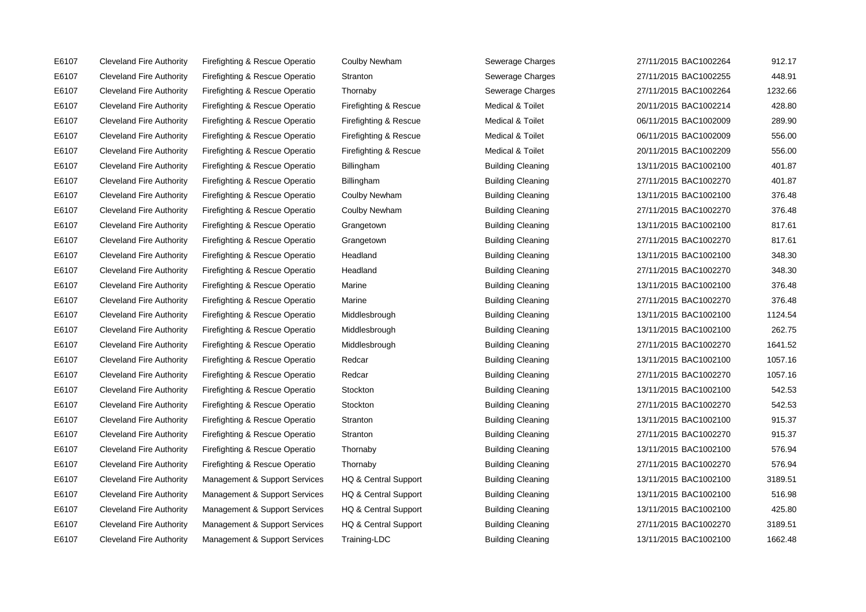E6107 Cleveland Fire Authority Firefighting & Rescue Operatio Coulby Newham Sewerage Charges E6107 Cleveland Fire Authority Firefighting & Rescue Operatio Stranton Stranton Sewerage Charges E6107 Cleveland Fire Authority Firefighting & Rescue Operatio Thornaby Sewerage Charges 27-11 E6107 Cleveland Fire Authority Firefighting & Rescue Operatio Firefighting & Rescue Medical & Toilet E6107 Cleveland Fire Authority Firefighting & Rescue Operatio Firefighting & Rescue Medical & Toilet E6107 Cleveland Fire Authority Firefighting & Rescue Operatio Firefighting & Rescue Medical & Toilet E6107 Cleveland Fire Authority Firefighting & Rescue Operatio Firefighting & Rescue Medical & Toilet E6107 Cleveland Fire Authority Firefighting & Rescue Operatio Billingham Building Cleaning 13 E6107 Cleveland Fire Authority Firefighting & Rescue Operatio Billingham Building Cleaning 2014 E6107 Cleveland Fire Authority Firefighting & Rescue Operatio Coulby Newham Building Cleaning E6107 Cleveland Fire Authority Firefighting & Rescue Operatio Coulby Newham Building Cleaning Cleaning E6107 Cleveland Fire Authority Firefighting & Rescue Operatio Grangetown Building Cleaning 13 E6107 Cleveland Fire Authority Firefighting & Rescue Operatio Grangetown Building Cleaning Cleaning E6107 Cleveland Fire Authority Firefighting & Rescue Operatio Headland Building Cleaning Cleaning 13 E6107 Cleveland Fire Authority Firefighting & Rescue Operatio Headland Building Cleaning 2014 E6107 Cleveland Fire Authority Firefighting & Rescue Operatio Marine **Building Cleaning 13/11/2016** Building Cleaning E6107 Cleveland Fire Authority Firefighting & Rescue Operatio Marine **Building Cleaning 27** 11/11/2016 Building Cleaning E6107 Cleveland Fire Authority Firefighting & Rescue Operatio Middlesbrough Building Cleaning Cleaning E6107 Cleveland Fire Authority Firefighting & Rescue Operatio Middlesbrough Building Cleaning Cleaning E6107 Cleveland Fire Authority Firefighting & Rescue Operatio Middlesbrough Building Cleaning Cleaning E6107 Cleveland Fire Authority Firefighting & Rescue Operatio Redcar Building Cleaning Cleaning Cleaning 1300 E6107 Cleveland Fire Authority Firefighting & Rescue Operatio Redcar Building Cleaning Cleaning 2014 E6107 Cleveland Fire Authority Firefighting & Rescue Operatio Stockton Building Cleaning Cleaning Cleaning 130 E6107 Cleveland Fire Authority Firefighting & Rescue Operatio Stockton Building Cleaning Cleaning Cleaning 2020 E6107 Cleveland Fire Authority Firefighting & Rescue Operatio Stranton Building Cleaning Cleaning 13 E6107 Cleveland Fire Authority Firefighting & Rescue Operatio Stranton Building Cleaning Cleaning 2014 E6107 Cleveland Fire Authority Firefighting & Rescue Operatio Thornaby **Building Cleaning** 13 E6107 Cleveland Fire Authority Firefighting & Rescue Operatio Thornaby Building Cleaning Cleaning 2014 E6107 Cleveland Fire Authority Management & Support Services HQ & Central Support Building Cleaning E6107 Cleveland Fire Authority Management & Support Services HQ & Central Support Building Cleaning E6107 Cleveland Fire Authority Management & Support Services HQ & Central Support Building Cleaning E6107 Cleveland Fire Authority Management & Support Services HQ & Central Support Building Cleaning E6107 Cleveland Fire Authority Management & Support Services Training-LDC Building Cleaning Cleaning

| 27/11/2015 BAC1002264 | 912.17  |
|-----------------------|---------|
| 27/11/2015 BAC1002255 | 448.91  |
| 27/11/2015 BAC1002264 | 1232.66 |
| 20/11/2015 BAC1002214 | 428.80  |
| 06/11/2015 BAC1002009 | 289.90  |
| 06/11/2015 BAC1002009 | 556.00  |
| 20/11/2015 BAC1002209 | 556.00  |
| 13/11/2015 BAC1002100 | 401.87  |
| 27/11/2015 BAC1002270 | 401.87  |
| 13/11/2015 BAC1002100 | 376.48  |
| 27/11/2015 BAC1002270 | 376.48  |
| 13/11/2015 BAC1002100 | 817.61  |
| 27/11/2015 BAC1002270 | 817.61  |
| 13/11/2015 BAC1002100 | 348.30  |
| 27/11/2015 BAC1002270 | 348.30  |
| 13/11/2015 BAC1002100 | 376.48  |
| 27/11/2015 BAC1002270 | 376.48  |
| 13/11/2015 BAC1002100 | 1124.54 |
| 13/11/2015 BAC1002100 | 262.75  |
| 27/11/2015 BAC1002270 | 1641.52 |
| 13/11/2015 BAC1002100 | 1057.16 |
| 27/11/2015 BAC1002270 | 1057.16 |
| 13/11/2015 BAC1002100 | 542.53  |
| 27/11/2015 BAC1002270 | 542.53  |
| 13/11/2015 BAC1002100 | 915.37  |
| 27/11/2015 BAC1002270 | 915.37  |
| 13/11/2015 BAC1002100 | 576.94  |
| 27/11/2015 BAC1002270 | 576.94  |
| 13/11/2015 BAC1002100 | 3189.51 |
| 13/11/2015 BAC1002100 | 516.98  |
| 13/11/2015 BAC1002100 | 425.80  |
| 27/11/2015 BAC1002270 | 3189.51 |
| 13/11/2015 BAC1002100 | 1662.48 |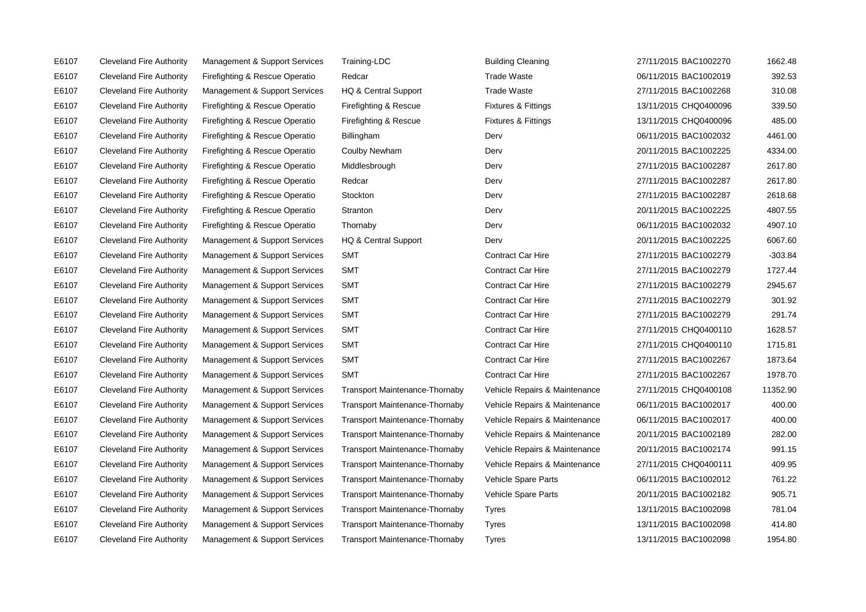E6107 Cleveland Fire Authority Management & Support Services Training-LDC Cleaning Cleaning Building E6107 Cleveland Fire Authority Firefighting & Rescue Operatio Redcar Clear Research Rade E6107 Cleveland Fire Authority Management & Support Services HQ & Central Support Trade E6107 Cleveland Fire Authority Firefighting & Rescue Operatio Firefighting & Rescue Fixtures 13.11 E6107 Cleveland Fire Authority Firefighting & Rescue Operatio Firefighting & Rescue Fixtures 13.11 E6107 Cleveland Fire Authority Firefighting & Rescue Operatio Billingham BILING BACHOVERGY E6107 Cleveland Fire Authority Firefighting & Rescue Operatio Coulby Newham Cleveland Fire 2011 E6107 Cleveland Fire Authority Firefighting & Rescue Operatio Middlesbrough Derv Derv E6107 Cleveland Fire Authority Firefighting & Rescue Operatio Redcar Clear Redcar Derv E6107 Cleveland Fire Authority Firefighting & Rescue Operatio Stockton Cleveland Perv E6107 Cleveland Fire Authority Firefighting & Rescue Operatio Stranton Cleanton Derv E6107 Cleveland Fire Authority Firefighting & Rescue Operatio Thornaby Cleveland Derv E6107 Cleveland Fire Authority Management & Support Services HQ & Central Support Derv E6107 Cleveland Fire Authority Management & Support Services SMT Contract Contra E6107 Cleveland Fire Authority Management & Support Services SMT Contract Contract Contract Contract Contract Contra E6107 Cleveland Fire Authority Management & Support Services SMT Contract Contract Contract Contract Contract Contra E6107 Cleveland Fire Authority Management & Support Services SMT Contract Contract Car Hire 2011 E6107 Cleveland Fire Authority Management & Support Services SMT Contract Contract Contract Contract Contract Contra E6107 Cleveland Fire Authority Management & Support Services SMT Contract Contract Contract Contract Contract Contra E6107 Cleveland Fire Authority Management & Support Services SMT Contract Contract Contract Contract Contract Contra E6107 Cleveland Fire Authority Management & Support Services SMT Contract Contract Contract Contract Contract Contract Contract Contract Contract Contract Contract Contract Contract Contract Contract Contract Contract Cont E6107 Cleveland Fire Authority Management & Support Services SMT Contract Contract Contract Contract Contract Contra E6107 Cleveland Fire Authority Management & Support Services Transport Maintenance-Thornaby Vehic E6107 Cleveland Fire Authority Management & Support Services Transport Maintenance-Thornaby Vehic E6107 Cleveland Fire Authority Management & Support Services Transport Maintenance-Thornaby Vehic E6107 Cleveland Fire Authority Management & Support Services Transport Maintenance-Thornaby Vehic E6107 Cleveland Fire Authority Management & Support Services Transport Maintenance-Thornaby Vehic E6107 Cleveland Fire Authority Management & Support Services Transport Maintenance-Thornaby Vehic E6107 Cleveland Fire Authority Management & Support Services Transport Maintenance-Thornaby Vehic E6107 Cleveland Fire Authority Management & Support Services Transport Maintenance-Thornaby Vehic E6107 Cleveland Fire Authority Management & Support Services Transport Maintenance-Thornaby Tyres E6107 Cleveland Fire Authority Management & Support Services Transport Maintenance-Thornaby Tyres E6107 Cleveland Fire Authority Management & Support Services Transport Maintenance-Thornaby Tyres

| ing Cleaning              | 27/11/2015 BAC1002270 | 1662.48   |
|---------------------------|-----------------------|-----------|
| <b>Waste</b>              | 06/11/2015 BAC1002019 | 392.53    |
| e Waste                   | 27/11/2015 BAC1002268 | 310.08    |
| res & Fittings            | 13/11/2015 CHQ0400096 | 339.50    |
| res & Fittings            | 13/11/2015 CHQ0400096 | 485.00    |
|                           | 06/11/2015 BAC1002032 | 4461.00   |
|                           | 20/11/2015 BAC1002225 | 4334.00   |
|                           | 27/11/2015 BAC1002287 | 2617.80   |
|                           | 27/11/2015 BAC1002287 | 2617.80   |
|                           | 27/11/2015 BAC1002287 | 2618.68   |
|                           | 20/11/2015 BAC1002225 | 4807.55   |
|                           | 06/11/2015 BAC1002032 | 4907.10   |
|                           | 20/11/2015 BAC1002225 | 6067.60   |
| act Car Hire              | 27/11/2015 BAC1002279 | $-303.84$ |
| act Car Hire <sup>.</sup> | 27/11/2015 BAC1002279 | 1727.44   |
| act Car Hire              | 27/11/2015 BAC1002279 | 2945.67   |
| act Car Hire              | 27/11/2015 BAC1002279 | 301.92    |
| act Car Hire              | 27/11/2015 BAC1002279 | 291.74    |
| act Car Hire              | 27/11/2015 CHQ0400110 | 1628.57   |
| act Car Hire              | 27/11/2015 CHQ0400110 | 1715.81   |
| act Car Hire              | 27/11/2015 BAC1002267 | 1873.64   |
| act Car Hire              | 27/11/2015 BAC1002267 | 1978.70   |
| de Repairs & Maintenance: | 27/11/2015 CHQ0400108 | 11352.90  |
| le Repairs & Maintenance  | 06/11/2015 BAC1002017 | 400.00    |
| le Repairs & Maintenance  | 06/11/2015 BAC1002017 | 400.00    |
| le Repairs & Maintenance  | 20/11/2015 BAC1002189 | 282.00    |
| le Repairs & Maintenance  | 20/11/2015 BAC1002174 | 991.15    |
| le Repairs & Maintenance  | 27/11/2015 CHQ0400111 | 409.95    |
| le Spare Parts            | 06/11/2015 BAC1002012 | 761.22    |
| le Spare Parts            | 20/11/2015 BAC1002182 | 905.71    |
|                           | 13/11/2015 BAC1002098 | 781.04    |
|                           | 13/11/2015 BAC1002098 | 414.80    |
|                           | 13/11/2015 BAC1002098 | 1954.80   |
|                           |                       |           |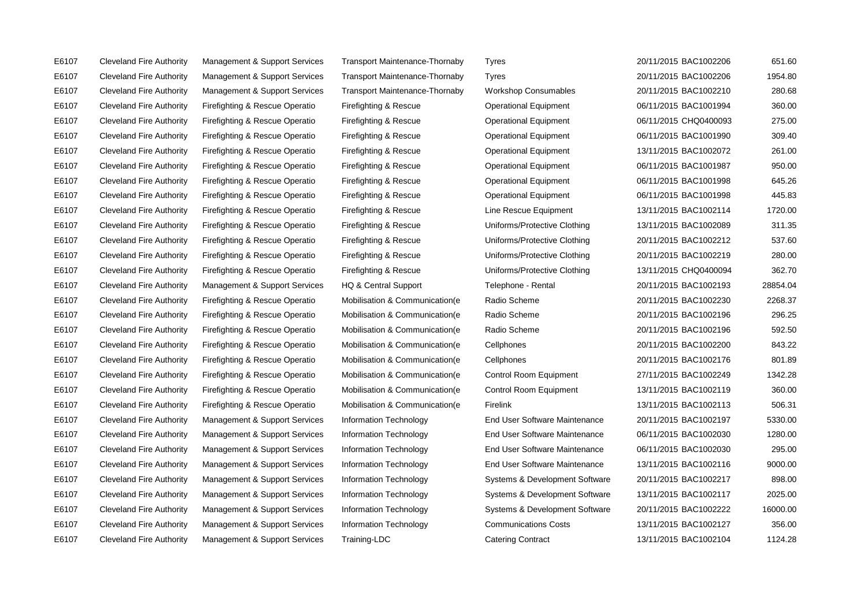E6107 Cleveland Fire Authority Management & Support Services Transport Maintenance-Thornaby Tyres 20/11/2015 BAC1002206 651.60 E6107 Cleveland Fire Authority Management & Support Services Transport Maintenance-Thornaby Tyres 20/11/2015 BAC1002206 1954.80 E6107 Cleveland Fire Authority Management & Support Services Transport Maintenance-Thornaby Workshop Consumables 20/11/2015 BAC1002210 280.68 E6107 Cleveland Fire Authority Firefighting & Rescue Operatio Firefighting & Rescue Operational Equipment 06/11/2015 BAC1001994 360.00 E6107 Cleveland Fire Authority Firefighting & Rescue Operatio Firefighting & Rescue Operational Equipment 06/11/2015 CHQ0400093 275.00 E6107 Cleveland Fire Authority Firefighting & Rescue Operatio Firefighting & Rescue Operational Equipment 06/11/2015 BAC1001990 309.40 E6107 Cleveland Fire Authority Firefighting & Rescue Operatio Firefighting & Rescue Operational Equipment 13/11/2015 BAC1002072 261.00 E6107 Cleveland Fire Authority Firefighting & Rescue Operatio Firefighting & Rescue Operational Equipment 06/11/2015 BAC1001987 950.00 E6107 Cleveland Fire Authority Firefighting & Rescue Operatio Firefighting & Rescue Operational Equipment 06/11/2015 BAC1001998 645.26 E6107 Cleveland Fire Authority Firefighting & Rescue Operatio Firefighting & Rescue Operational Equipment 06/11/2015 BAC1001998 445.83 E6107 Cleveland Fire Authority Firefighting & Rescue Operatio Firefighting & Rescue Line Rescue Equipment 13/11/2015 BAC1002114 1720.00 E6107 Cleveland Fire Authority Firefighting & Rescue Operatio Firefighting & Rescue Uniforms/Protective Clothing 13/11/2015 BAC1002089 311.35 E6107 Cleveland Fire Authority Firefighting & Rescue Operatio Firefighting & Rescue Uniforms/Protective Clothing 20/11/2015 BAC1002212 537.60 E6107 Cleveland Fire Authority Firefighting & Rescue Operatio Firefighting & Rescue Uniforms/Protective Clothing 20/11/2015 BAC1002219 280.00 E6107 Cleveland Fire Authority Firefighting & Rescue Operatio Firefighting & Rescue Uniforms/Protective Clothing 13/11/2015 CHQ0400094 362.70 E6107 Cleveland Fire Authority Management & Support Services HQ & Central Support Telephone - Rental 20/11/2015 BAC1002193 28854.04 E6107 Cleveland Fire Authority Firefighting & Rescue Operatio Mobilisation & Communication(e Radio Scheme 20/11/2015 BAC1002230 2268.37 E6107 Cleveland Fire Authority Firefighting & Rescue Operatio Mobilisation & Communication(e Radio Scheme 20/11/2015 BAC1002196 296.25 E6107 Cleveland Fire Authority Firefighting & Rescue Operatio Mobilisation & Communication(e Radio Scheme 20/11/2015 BAC1002196 592.50 E6107 Cleveland Fire Authority Firefighting & Rescue Operatio Mobilisation & Communication(e Cellphones 20/11/2015 BAC1002200 843.22 E6107 Cleveland Fire Authority Firefighting & Rescue Operatio Mobilisation & Communication(e Cellphones 20/11/2015 BAC1002176 801.89 E6107 Cleveland Fire Authority Firefighting & Rescue Operatio Mobilisation & Communication(e Control Room Equipment 27/11/2015 BAC1002249 1342.28 E6107 Cleveland Fire Authority Firefighting & Rescue Operatio Mobilisation & Communication(e Control Room Equipment 13/11/2015 BAC1002119 360.00 E6107 Cleveland Fire Authority Firefighting & Rescue Operatio Mobilisation & Communication(e Firelink 13/11/2015 BAC1002113 506.31 E6107 Cleveland Fire Authority Management & Support Services Information Technology End User Software Maintenance 20/11/2015 BAC1002197 5330.00 E6107 Cleveland Fire Authority Management & Support Services Information Technology End User Software Maintenance 06/11/2015 BAC1002030 1280.00 E6107 Cleveland Fire Authority Management & Support Services Information Technology End User Software Maintenance 06/11/2015 BAC1002030 295.00 E6107 Cleveland Fire Authority Management & Support Services Information Technology End User Software Maintenance 13/11/2015 BAC1002116 9000.00 E6107 Cleveland Fire Authority Management & Support Services Information Technology Systems & Development Software 20/11/2015 BAC1002217 898.00 E6107 Cleveland Fire Authority Management & Support Services Information Technology Systems & Development Software 13/11/2015 BAC1002117 2025.00 E6107 Cleveland Fire Authority Management & Support Services Information Technology Systems & Development Software 20/11/2015 BAC1002222 16000.00 E6107 Cleveland Fire Authority Management & Support Services Information Technology Communications Costs 13/11/2015 BAC1002127 356.00 E6107 Cleveland Fire Authority Management & Support Services Training-LDC Catering Contract 13/11/2015 BAC1002104 1124.28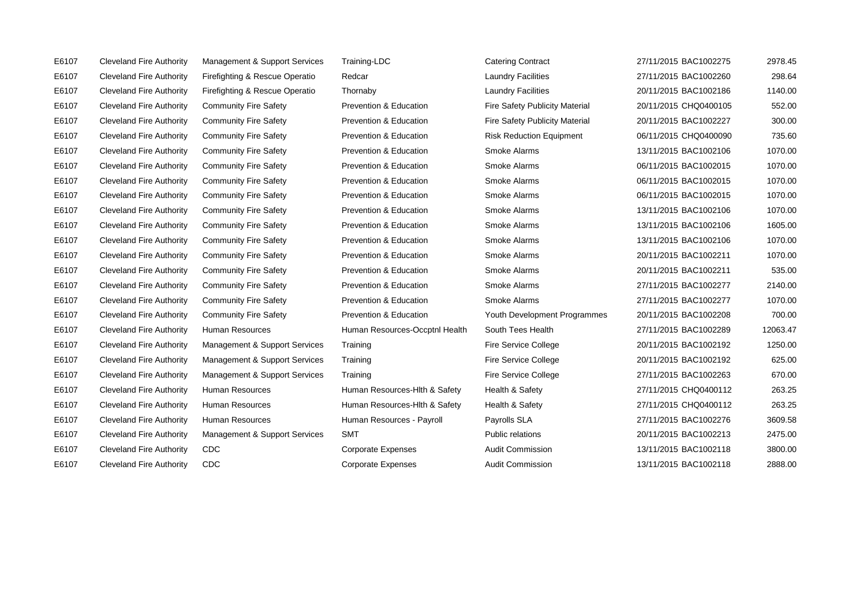| E6107 | <b>Cleveland Fire Authority</b> | Management & Support Services  | Training-LDC                   | <b>Catering Contract</b>              | 27/11/2015 BAC1002275 | 2978.45  |
|-------|---------------------------------|--------------------------------|--------------------------------|---------------------------------------|-----------------------|----------|
| E6107 | <b>Cleveland Fire Authority</b> | Firefighting & Rescue Operatio | Redcar                         | <b>Laundry Facilities</b>             | 27/11/2015 BAC1002260 | 298.64   |
| E6107 | <b>Cleveland Fire Authority</b> | Firefighting & Rescue Operatio | Thornaby                       | <b>Laundry Facilities</b>             | 20/11/2015 BAC1002186 | 1140.00  |
| E6107 | <b>Cleveland Fire Authority</b> | <b>Community Fire Safety</b>   | Prevention & Education         | <b>Fire Safety Publicity Material</b> | 20/11/2015 CHQ0400105 | 552.00   |
| E6107 | <b>Cleveland Fire Authority</b> | <b>Community Fire Safety</b>   | Prevention & Education         | <b>Fire Safety Publicity Material</b> | 20/11/2015 BAC1002227 | 300.00   |
| E6107 | <b>Cleveland Fire Authority</b> | <b>Community Fire Safety</b>   | Prevention & Education         | <b>Risk Reduction Equipment</b>       | 06/11/2015 CHQ0400090 | 735.60   |
| E6107 | <b>Cleveland Fire Authority</b> | <b>Community Fire Safety</b>   | Prevention & Education         | Smoke Alarms                          | 13/11/2015 BAC1002106 | 1070.00  |
| E6107 | <b>Cleveland Fire Authority</b> | <b>Community Fire Safety</b>   | Prevention & Education         | Smoke Alarms                          | 06/11/2015 BAC1002015 | 1070.00  |
| E6107 | <b>Cleveland Fire Authority</b> | <b>Community Fire Safety</b>   | Prevention & Education         | Smoke Alarms                          | 06/11/2015 BAC1002015 | 1070.00  |
| E6107 | <b>Cleveland Fire Authority</b> | <b>Community Fire Safety</b>   | Prevention & Education         | Smoke Alarms                          | 06/11/2015 BAC1002015 | 1070.00  |
| E6107 | <b>Cleveland Fire Authority</b> | <b>Community Fire Safety</b>   | Prevention & Education         | Smoke Alarms                          | 13/11/2015 BAC1002106 | 1070.00  |
| E6107 | <b>Cleveland Fire Authority</b> | <b>Community Fire Safety</b>   | Prevention & Education         | Smoke Alarms                          | 13/11/2015 BAC1002106 | 1605.00  |
| E6107 | <b>Cleveland Fire Authority</b> | <b>Community Fire Safety</b>   | Prevention & Education         | Smoke Alarms                          | 13/11/2015 BAC1002106 | 1070.00  |
| E6107 | <b>Cleveland Fire Authority</b> | <b>Community Fire Safety</b>   | Prevention & Education         | Smoke Alarms                          | 20/11/2015 BAC1002211 | 1070.00  |
| E6107 | <b>Cleveland Fire Authority</b> | <b>Community Fire Safety</b>   | Prevention & Education         | Smoke Alarms                          | 20/11/2015 BAC1002211 | 535.00   |
| E6107 | <b>Cleveland Fire Authority</b> | <b>Community Fire Safety</b>   | Prevention & Education         | Smoke Alarms                          | 27/11/2015 BAC1002277 | 2140.00  |
| E6107 | <b>Cleveland Fire Authority</b> | <b>Community Fire Safety</b>   | Prevention & Education         | Smoke Alarms                          | 27/11/2015 BAC1002277 | 1070.00  |
| E6107 | <b>Cleveland Fire Authority</b> | <b>Community Fire Safety</b>   | Prevention & Education         | Youth Development Programmes          | 20/11/2015 BAC1002208 | 700.00   |
| E6107 | <b>Cleveland Fire Authority</b> | <b>Human Resources</b>         | Human Resources-Occptnl Health | South Tees Health                     | 27/11/2015 BAC1002289 | 12063.47 |
| E6107 | <b>Cleveland Fire Authority</b> | Management & Support Services  | Training                       | <b>Fire Service College</b>           | 20/11/2015 BAC1002192 | 1250.00  |
| E6107 | <b>Cleveland Fire Authority</b> | Management & Support Services  | Training                       | Fire Service College                  | 20/11/2015 BAC1002192 | 625.00   |
| E6107 | <b>Cleveland Fire Authority</b> | Management & Support Services  | Training                       | Fire Service College                  | 27/11/2015 BAC1002263 | 670.00   |
| E6107 | <b>Cleveland Fire Authority</b> | <b>Human Resources</b>         | Human Resources-Hith & Safety  | Health & Safety                       | 27/11/2015 CHQ0400112 | 263.25   |
| E6107 | <b>Cleveland Fire Authority</b> | Human Resources                | Human Resources-Hith & Safety  | Health & Safety                       | 27/11/2015 CHQ0400112 | 263.25   |
| E6107 | <b>Cleveland Fire Authority</b> | Human Resources                | Human Resources - Payroll      | Payrolls SLA                          | 27/11/2015 BAC1002276 | 3609.58  |
| E6107 | <b>Cleveland Fire Authority</b> | Management & Support Services  | <b>SMT</b>                     | Public relations                      | 20/11/2015 BAC1002213 | 2475.00  |
| E6107 | <b>Cleveland Fire Authority</b> | CDC                            | <b>Corporate Expenses</b>      | <b>Audit Commission</b>               | 13/11/2015 BAC1002118 | 3800.00  |
| E6107 | <b>Cleveland Fire Authority</b> | <b>CDC</b>                     | <b>Corporate Expenses</b>      | <b>Audit Commission</b>               | 13/11/2015 BAC1002118 | 2888.00  |
|       |                                 |                                |                                |                                       |                       |          |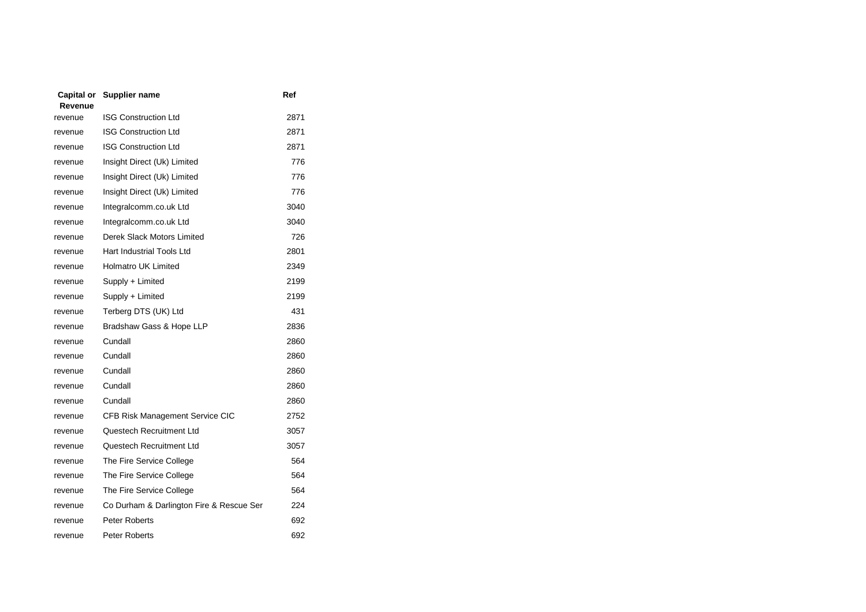| Capital or<br>Revenue | <b>Supplier name</b>                     | Ref  |
|-----------------------|------------------------------------------|------|
| revenue               | <b>ISG Construction Ltd</b>              | 2871 |
| revenue               | <b>ISG Construction Ltd</b>              | 2871 |
| revenue               | <b>ISG Construction Ltd</b>              | 2871 |
| revenue               | Insight Direct (Uk) Limited              | 776  |
| revenue               | Insight Direct (Uk) Limited              | 776  |
| revenue               | Insight Direct (Uk) Limited              | 776  |
| revenue               | Integralcomm.co.uk Ltd                   | 3040 |
| revenue               | Integralcomm.co.uk Ltd                   | 3040 |
| revenue               | Derek Slack Motors Limited               | 726  |
| revenue               | Hart Industrial Tools Ltd                | 2801 |
| revenue               | Holmatro UK Limited                      | 2349 |
| revenue               | Supply + Limited                         | 2199 |
| revenue               | Supply + Limited                         | 2199 |
| revenue               | Terberg DTS (UK) Ltd                     | 431  |
| revenue               | Bradshaw Gass & Hope LLP                 | 2836 |
| revenue               | Cundall                                  | 2860 |
| revenue               | Cundall                                  | 2860 |
| revenue               | Cundall                                  | 2860 |
| revenue               | Cundall                                  | 2860 |
| revenue               | Cundall                                  | 2860 |
| revenue               | CFB Risk Management Service CIC          | 2752 |
| revenue               | Questech Recruitment Ltd                 | 3057 |
| revenue               | Questech Recruitment Ltd                 | 3057 |
| revenue               | The Fire Service College                 | 564  |
| revenue               | The Fire Service College                 | 564  |
| revenue               | The Fire Service College                 | 564  |
| revenue               | Co Durham & Darlington Fire & Rescue Ser | 224  |
| revenue               | <b>Peter Roberts</b>                     | 692  |
| revenue               | Peter Roberts                            | 692  |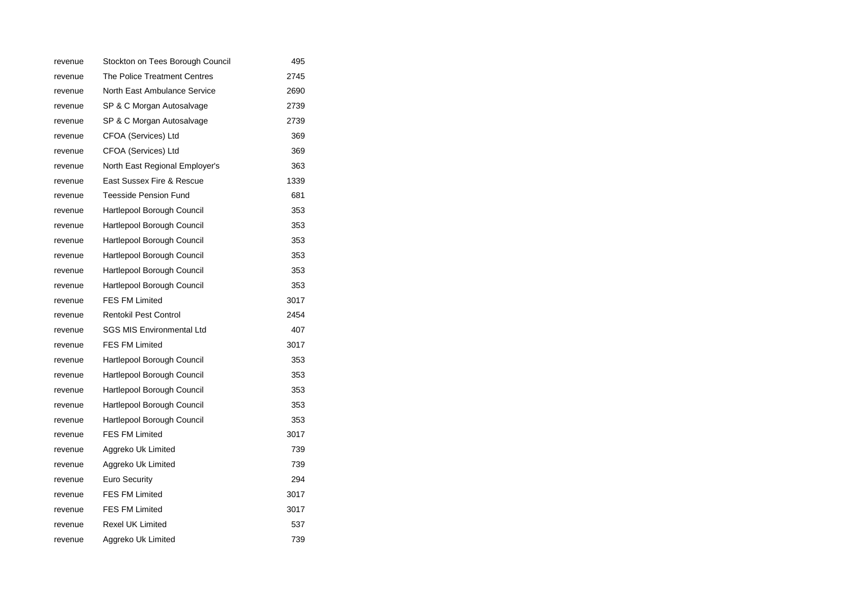| revenue | Stockton on Tees Borough Council | 495  |
|---------|----------------------------------|------|
| revenue | The Police Treatment Centres     | 2745 |
| revenue | North East Ambulance Service     | 2690 |
| revenue | SP & C Morgan Autosalvage        | 2739 |
| revenue | SP & C Morgan Autosalvage        | 2739 |
| revenue | CFOA (Services) Ltd              | 369  |
| revenue | CFOA (Services) Ltd              | 369  |
| revenue | North East Regional Employer's   | 363  |
| revenue | East Sussex Fire & Rescue        | 1339 |
| revenue | <b>Teesside Pension Fund</b>     | 681  |
| revenue | Hartlepool Borough Council       | 353  |
| revenue | Hartlepool Borough Council       | 353  |
| revenue | Hartlepool Borough Council       | 353  |
| revenue | Hartlepool Borough Council       | 353  |
| revenue | Hartlepool Borough Council       | 353  |
| revenue | Hartlepool Borough Council       | 353  |
| revenue | <b>FES FM Limited</b>            | 3017 |
| revenue | <b>Rentokil Pest Control</b>     | 2454 |
| revenue | <b>SGS MIS Environmental Ltd</b> | 407  |
| revenue | <b>FES FM Limited</b>            | 3017 |
| revenue | Hartlepool Borough Council       | 353  |
| revenue | Hartlepool Borough Council       | 353  |
| revenue | Hartlepool Borough Council       | 353  |
| revenue | Hartlepool Borough Council       | 353  |
| revenue | Hartlepool Borough Council       | 353  |
| revenue | <b>FES FM Limited</b>            | 3017 |
| revenue | Aggreko Uk Limited               | 739  |
| revenue | Aggreko Uk Limited               | 739  |
| revenue | Euro Security                    | 294  |
| revenue | <b>FES FM Limited</b>            | 3017 |
| revenue | <b>FES FM Limited</b>            | 3017 |
| revenue | <b>Rexel UK Limited</b>          | 537  |
| revenue | Aggreko Uk Limited               | 739  |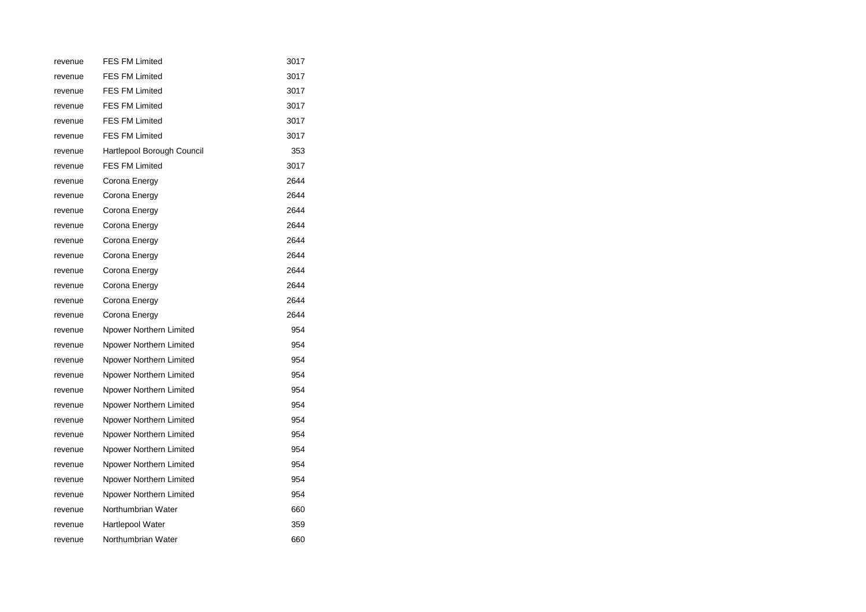| revenue | <b>FES FM Limited</b>      | 3017 |
|---------|----------------------------|------|
| revenue | <b>FES FM Limited</b>      | 3017 |
| revenue | <b>FES FM Limited</b>      | 3017 |
| revenue | <b>FES FM Limited</b>      | 3017 |
| revenue | <b>FES FM Limited</b>      | 3017 |
| revenue | <b>FES FM Limited</b>      | 3017 |
| revenue | Hartlepool Borough Council | 353  |
| revenue | <b>FES FM Limited</b>      | 3017 |
| revenue | Corona Energy              | 2644 |
| revenue | Corona Energy              | 2644 |
| revenue | Corona Energy              | 2644 |
| revenue | Corona Energy              | 2644 |
| revenue | Corona Energy              | 2644 |
| revenue | Corona Energy              | 2644 |
| revenue | Corona Energy              | 2644 |
| revenue | Corona Energy              | 2644 |
| revenue | Corona Energy              | 2644 |
| revenue | Corona Energy              | 2644 |
| revenue | Npower Northern Limited    | 954  |
| revenue | Npower Northern Limited    | 954  |
| revenue | Npower Northern Limited    | 954  |
| revenue | Npower Northern Limited    | 954  |
| revenue | Npower Northern Limited    | 954  |
| revenue | Npower Northern Limited    | 954  |
| revenue | Npower Northern Limited    | 954  |
| revenue | Npower Northern Limited    | 954  |
| revenue | Npower Northern Limited    | 954  |
| revenue | Npower Northern Limited    | 954  |
| revenue | Npower Northern Limited    | 954  |
| revenue | Npower Northern Limited    | 954  |
| revenue | Northumbrian Water         | 660  |
| revenue | Hartlepool Water           | 359  |
| revenue | Northumbrian Water         | 660  |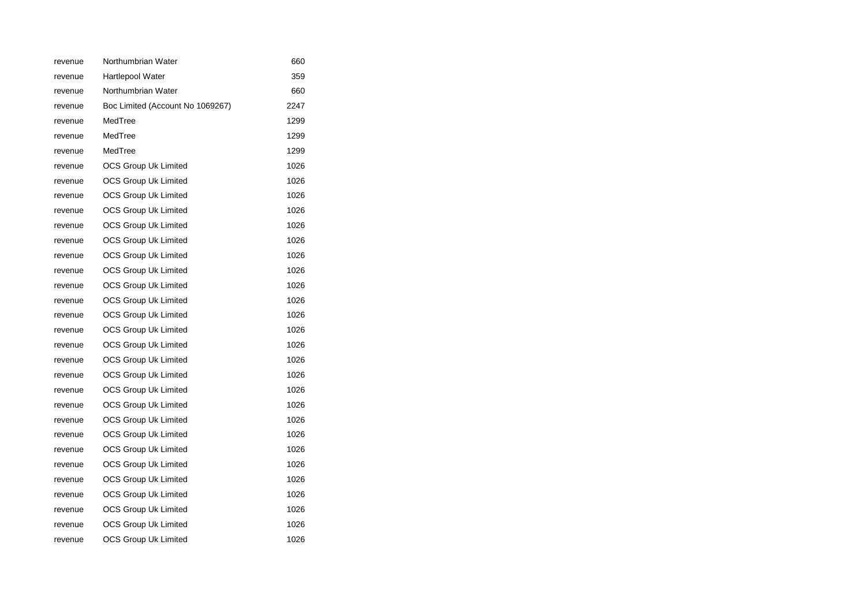| revenue | Northumbrian Water               | 660  |
|---------|----------------------------------|------|
| revenue | <b>Hartlepool Water</b>          | 359  |
| revenue | Northumbrian Water               | 660  |
| revenue | Boc Limited (Account No 1069267) | 2247 |
| revenue | MedTree                          | 1299 |
| revenue | MedTree                          | 1299 |
| revenue | MedTree                          | 1299 |
| revenue | <b>OCS Group Uk Limited</b>      | 1026 |
| revenue | OCS Group Uk Limited             | 1026 |
| revenue | <b>OCS Group Uk Limited</b>      | 1026 |
| revenue | <b>OCS Group Uk Limited</b>      | 1026 |
| revenue | <b>OCS Group Uk Limited</b>      | 1026 |
| revenue | OCS Group Uk Limited             | 1026 |
| revenue | OCS Group Uk Limited             | 1026 |
| revenue | <b>OCS Group Uk Limited</b>      | 1026 |
| revenue | <b>OCS Group Uk Limited</b>      | 1026 |
| revenue | <b>OCS Group Uk Limited</b>      | 1026 |
| revenue | OCS Group Uk Limited             | 1026 |
| revenue | <b>OCS Group Uk Limited</b>      | 1026 |
| revenue | <b>OCS Group Uk Limited</b>      | 1026 |
| revenue | <b>OCS Group Uk Limited</b>      | 1026 |
| revenue | OCS Group Uk Limited             | 1026 |
| revenue | <b>OCS Group Uk Limited</b>      | 1026 |
| revenue | OCS Group Uk Limited             | 1026 |
| revenue | <b>OCS Group Uk Limited</b>      | 1026 |
| revenue | OCS Group Uk Limited             | 1026 |
| revenue | <b>OCS Group Uk Limited</b>      | 1026 |
| revenue | OCS Group Uk Limited             | 1026 |
| revenue | <b>OCS Group Uk Limited</b>      | 1026 |
| revenue | <b>OCS Group Uk Limited</b>      | 1026 |
| revenue | OCS Group Uk Limited             | 1026 |
| revenue | <b>OCS Group Uk Limited</b>      | 1026 |
| revenue | <b>OCS Group Uk Limited</b>      | 1026 |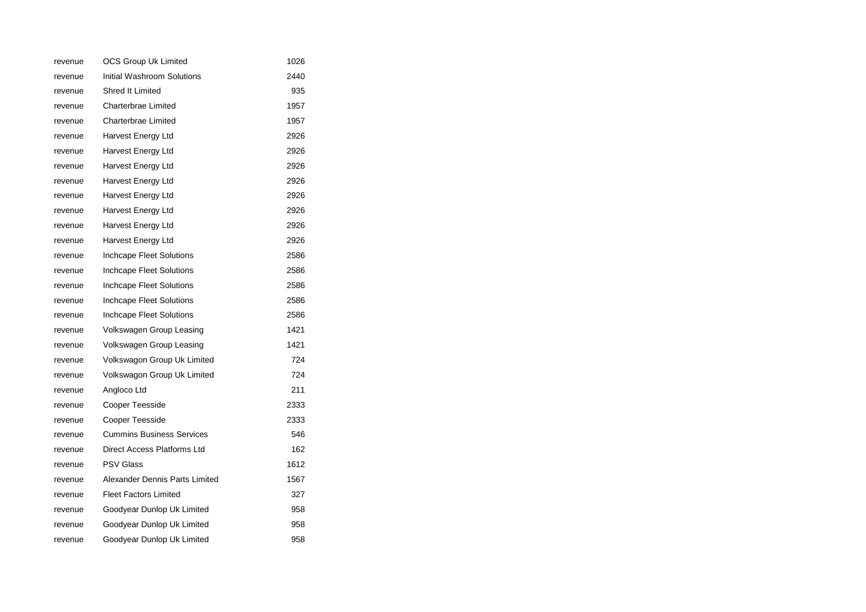| revenue | <b>OCS Group Uk Limited</b>      | 1026 |
|---------|----------------------------------|------|
| revenue | Initial Washroom Solutions       | 2440 |
| revenue | Shred It Limited                 | 935  |
| revenue | Charterbrae Limited              | 1957 |
| revenue | Charterbrae Limited              | 1957 |
| revenue | Harvest Energy Ltd               | 2926 |
| revenue | Harvest Energy Ltd               | 2926 |
| revenue | Harvest Energy Ltd               | 2926 |
| revenue | Harvest Energy Ltd               | 2926 |
| revenue | Harvest Energy Ltd               | 2926 |
| revenue | Harvest Energy Ltd               | 2926 |
| revenue | Harvest Energy Ltd               | 2926 |
| revenue | Harvest Energy Ltd               | 2926 |
| revenue | Inchcape Fleet Solutions         | 2586 |
| revenue | Inchcape Fleet Solutions         | 2586 |
| revenue | <b>Inchcape Fleet Solutions</b>  | 2586 |
| revenue | Inchcape Fleet Solutions         | 2586 |
| revenue | Inchcape Fleet Solutions         | 2586 |
| revenue | Volkswagen Group Leasing         | 1421 |
| revenue | Volkswagen Group Leasing         | 1421 |
| revenue | Volkswagon Group Uk Limited      | 724  |
| revenue | Volkswagon Group Uk Limited      | 724  |
| revenue | Angloco Ltd                      | 211  |
| revenue | <b>Cooper Teesside</b>           | 2333 |
| revenue | <b>Cooper Teesside</b>           | 2333 |
| revenue | <b>Cummins Business Services</b> | 546  |
| revenue | Direct Access Platforms Ltd      | 162  |
| revenue | <b>PSV Glass</b>                 | 1612 |
| revenue | Alexander Dennis Parts Limited   | 1567 |
| revenue | <b>Fleet Factors Limited</b>     | 327  |
| revenue | Goodyear Dunlop Uk Limited       | 958  |
| revenue | Goodyear Dunlop Uk Limited       | 958  |
| revenue | Goodyear Dunlop Uk Limited       | 958  |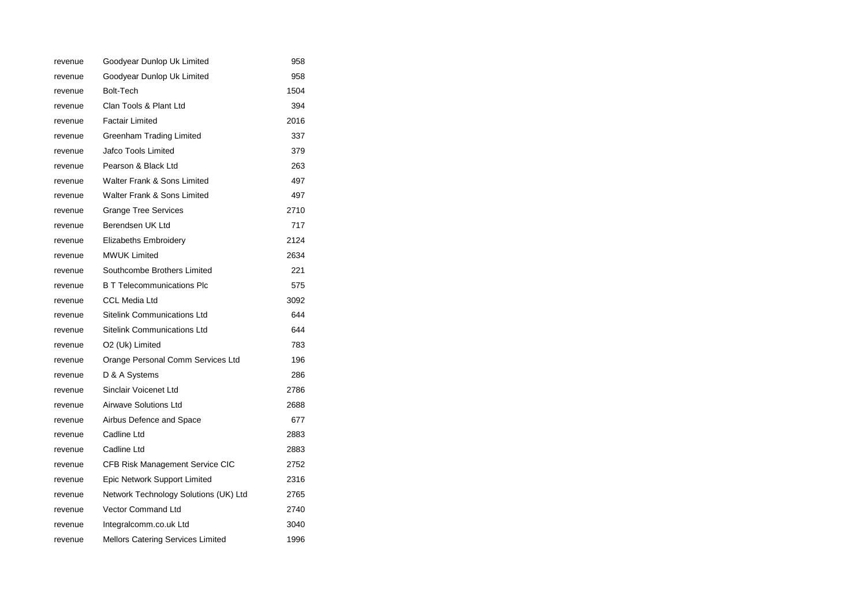| revenue | Goodyear Dunlop Uk Limited            | 958  |
|---------|---------------------------------------|------|
| revenue | Goodyear Dunlop Uk Limited            | 958  |
| revenue | <b>Bolt-Tech</b>                      | 1504 |
| revenue | Clan Tools & Plant Ltd                | 394  |
| revenue | <b>Factair Limited</b>                | 2016 |
| revenue | Greenham Trading Limited              | 337  |
| revenue | Jafco Tools Limited                   | 379  |
| revenue | Pearson & Black Ltd                   | 263  |
| revenue | Walter Frank & Sons Limited           | 497  |
| revenue | Walter Frank & Sons Limited           | 497  |
| revenue | <b>Grange Tree Services</b>           | 2710 |
| revenue | Berendsen UK Ltd                      | 717  |
| revenue | <b>Elizabeths Embroidery</b>          | 2124 |
| revenue | <b>MWUK Limited</b>                   | 2634 |
| revenue | Southcombe Brothers Limited           | 221  |
| revenue | <b>B T Telecommunications Plc</b>     | 575  |
| revenue | <b>CCL Media Ltd</b>                  | 3092 |
| revenue | <b>Sitelink Communications Ltd</b>    | 644  |
| revenue | Sitelink Communications Ltd           | 644  |
| revenue | O2 (Uk) Limited                       | 783  |
| revenue | Orange Personal Comm Services Ltd     | 196  |
| revenue | D & A Systems                         | 286  |
| revenue | Sinclair Voicenet Ltd                 | 2786 |
| revenue | <b>Airwave Solutions Ltd</b>          | 2688 |
| revenue | Airbus Defence and Space              | 677  |
| revenue | Cadline Ltd                           | 2883 |
| revenue | Cadline Ltd                           | 2883 |
| revenue | CFB Risk Management Service CIC       | 2752 |
| revenue | Epic Network Support Limited          | 2316 |
| revenue | Network Technology Solutions (UK) Ltd | 2765 |
| revenue | Vector Command Ltd                    | 2740 |
| revenue | Integralcomm.co.uk Ltd                | 3040 |
| revenue | Mellors Catering Services Limited     | 1996 |